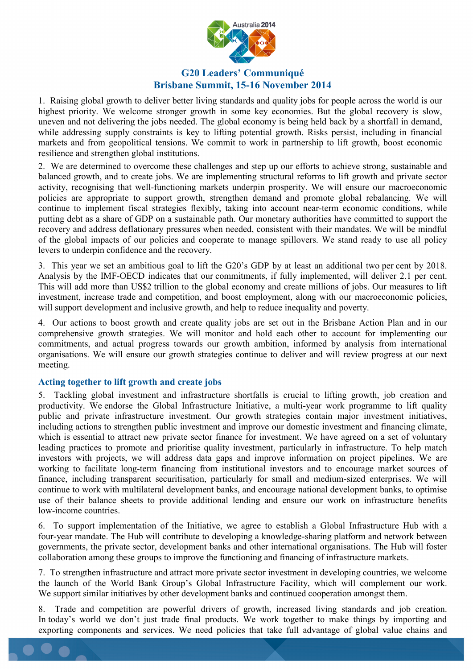

## **G20 Leaders' Communiqué Brisbane Summit, 15-16 November 2014**

1. Raising global growth to deliver better living standards and quality jobs for people across the world is our highest priority. We welcome stronger growth in some key economies. But the global recovery is slow, uneven and not delivering the jobs needed. The global economy is being held back by a shortfall in demand, while addressing supply constraints is key to lifting potential growth. Risks persist, including in financial markets and from geopolitical tensions. We commit to work in partnership to lift growth, boost economic resilience and strengthen global institutions.

2. We are determined to overcome these challenges and step up our efforts to achieve strong, sustainable and balanced growth, and to create jobs. We are implementing structural reforms to lift growth and private sector activity, recognising that well-functioning markets underpin prosperity. We will ensure our macroeconomic policies are appropriate to support growth, strengthen demand and promote global rebalancing. We will continue to implement fiscal strategies flexibly, taking into account near-term economic conditions, while putting debt as a share of GDP on a sustainable path. Our monetary authorities have committed to support the recovery and address deflationary pressures when needed, consistent with their mandates. We will be mindful of the global impacts of our policies and cooperate to manage spillovers. We stand ready to use all policy levers to underpin confidence and the recovery.

3. This year we set an ambitious goal to lift the G20's GDP by at least an additional two per cent by 2018. Analysis by the IMF-OECD indicates that our commitments, if fully implemented, will deliver 2.1 per cent. This will add more than US\$2 trillion to the global economy and create millions of jobs. Our measures to lift investment, increase trade and competition, and boost employment, along with our macroeconomic policies, will support development and inclusive growth, and help to reduce inequality and poverty.

4. Our actions to boost growth and create quality jobs are set out in the Brisbane Action Plan and in our comprehensive growth strategies. We will monitor and hold each other to account for implementing our commitments, and actual progress towards our growth ambition, informed by analysis from international organisations. We will ensure our growth strategies continue to deliver and will review progress at our next meeting.

### **Acting together to lift growth and create jobs**

5. Tackling global investment and infrastructure shortfalls is crucial to lifting growth, job creation and productivity. We endorse the Global Infrastructure Initiative, a multi-year work programme to lift quality public and private infrastructure investment. Our growth strategies contain major investment initiatives, including actions to strengthen public investment and improve our domestic investment and financing climate, which is essential to attract new private sector finance for investment. We have agreed on a set of voluntary leading practices to promote and prioritise quality investment, particularly in infrastructure. To help match investors with projects, we will address data gaps and improve information on project pipelines. We are working to facilitate long-term financing from institutional investors and to encourage market sources of finance, including transparent securitisation, particularly for small and medium-sized enterprises. We will continue to work with multilateral development banks, and encourage national development banks, to optimise use of their balance sheets to provide additional lending and ensure our work on infrastructure benefits low-income countries.

6. To support implementation of the Initiative, we agree to establish a Global Infrastructure Hub with a four-year mandate. The Hub will contribute to developing a knowledge-sharing platform and network between governments, the private sector, development banks and other international organisations. The Hub will foster collaboration among these groups to improve the functioning and financing of infrastructure markets.

7. To strengthen infrastructure and attract more private sector investment in developing countries, we welcome the launch of the World Bank Group's Global Infrastructure Facility, which will complement our work. We support similar initiatives by other development banks and continued cooperation amongst them.

Trade and competition are powerful drivers of growth, increased living standards and job creation. In today's world we don't just trade final products. We work together to make things by importing and exporting components and services. We need policies that take full advantage of global value chains and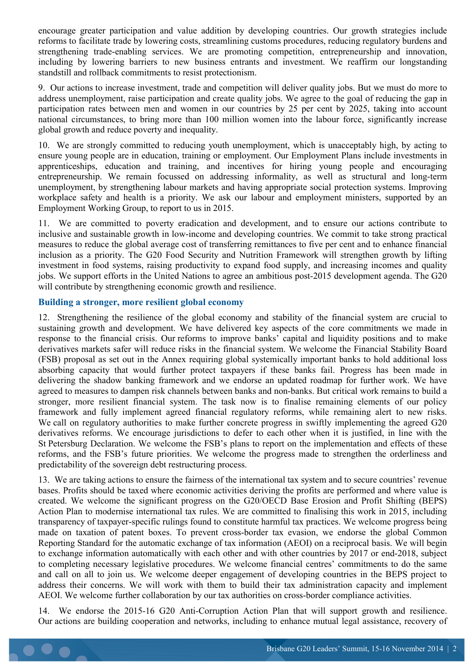encourage greater participation and value addition by developing countries. Our growth strategies include reforms to facilitate trade by lowering costs, streamlining customs procedures, reducing regulatory burdens and strengthening trade-enabling services. We are promoting competition, entrepreneurship and innovation, including by lowering barriers to new business entrants and investment. We reaffirm our longstanding standstill and rollback commitments to resist protectionism.

9. Our actions to increase investment, trade and competition will deliver quality jobs. But we must do more to address unemployment, raise participation and create quality jobs. We agree to the goal of reducing the gap in participation rates between men and women in our countries by 25 per cent by 2025, taking into account national circumstances, to bring more than 100 million women into the labour force, significantly increase global growth and reduce poverty and inequality.

10. We are strongly committed to reducing youth unemployment, which is unacceptably high, by acting to ensure young people are in education, training or employment. Our Employment Plans include investments in apprenticeships, education and training, and incentives for hiring young people and encouraging entrepreneurship. We remain focussed on addressing informality, as well as structural and long-term unemployment, by strengthening labour markets and having appropriate social protection systems. Improving workplace safety and health is a priority. We ask our labour and employment ministers, supported by an Employment Working Group, to report to us in 2015.

11. We are committed to poverty eradication and development, and to ensure our actions contribute to inclusive and sustainable growth in low-income and developing countries. We commit to take strong practical measures to reduce the global average cost of transferring remittances to five per cent and to enhance financial inclusion as a priority. The G20 Food Security and Nutrition Framework will strengthen growth by lifting investment in food systems, raising productivity to expand food supply, and increasing incomes and quality jobs. We support efforts in the United Nations to agree an ambitious post-2015 development agenda. The G20 will contribute by strengthening economic growth and resilience.

#### **Building a stronger, more resilient global economy**

12. Strengthening the resilience of the global economy and stability of the financial system are crucial to sustaining growth and development. We have delivered key aspects of the core commitments we made in response to the financial crisis. Our reforms to improve banks' capital and liquidity positions and to make derivatives markets safer will reduce risks in the financial system. We welcome the Financial Stability Board (FSB) proposal as set out in the Annex requiring global systemically important banks to hold additional loss absorbing capacity that would further protect taxpayers if these banks fail. Progress has been made in delivering the shadow banking framework and we endorse an updated roadmap for further work. We have agreed to measures to dampen risk channels between banks and non-banks. But critical work remains to build a stronger, more resilient financial system. The task now is to finalise remaining elements of our policy framework and fully implement agreed financial regulatory reforms, while remaining alert to new risks. We call on regulatory authorities to make further concrete progress in swiftly implementing the agreed G20 derivatives reforms. We encourage jurisdictions to defer to each other when it is justified, in line with the St Petersburg Declaration. We welcome the FSB's plans to report on the implementation and effects of these reforms, and the FSB's future priorities. We welcome the progress made to strengthen the orderliness and predictability of the sovereign debt restructuring process.

13. We are taking actions to ensure the fairness of the international tax system and to secure countries' revenue bases. Profits should be taxed where economic activities deriving the profits are performed and where value is created. We welcome the significant progress on the G20/OECD Base Erosion and Profit Shifting (BEPS) Action Plan to modernise international tax rules. We are committed to finalising this work in 2015, including transparency of taxpayer-specific rulings found to constitute harmful tax practices. We welcome progress being made on taxation of patent boxes. To prevent cross-border tax evasion, we endorse the global Common Reporting Standard for the automatic exchange of tax information (AEOI) on a reciprocal basis. We will begin to exchange information automatically with each other and with other countries by 2017 or end-2018, subject to completing necessary legislative procedures. We welcome financial centres' commitments to do the same and call on all to join us. We welcome deeper engagement of developing countries in the BEPS project to address their concerns. We will work with them to build their tax administration capacity and implement AEOI. We welcome further collaboration by our tax authorities on cross-border compliance activities.

14. We endorse the 2015-16 G20 Anti-Corruption Action Plan that will support growth and resilience. Our actions are building cooperation and networks, including to enhance mutual legal assistance, recovery of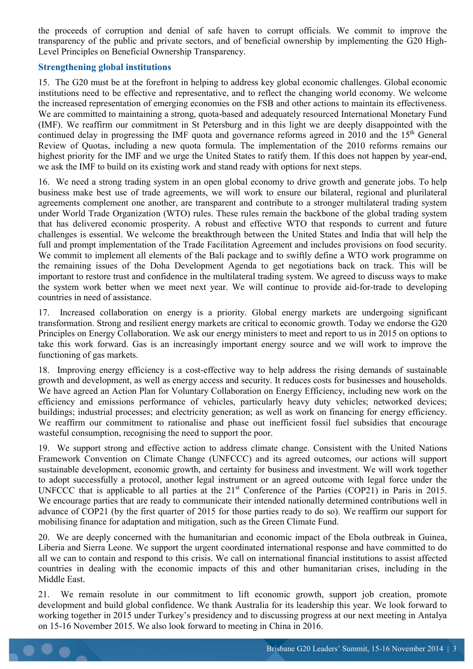the proceeds of corruption and denial of safe haven to corrupt officials. We commit to improve the transparency of the public and private sectors, and of beneficial ownership by implementing the G20 High-Level Principles on Beneficial Ownership Transparency.

### **Strengthening global institutions**

15. The G20 must be at the forefront in helping to address key global economic challenges. Global economic institutions need to be effective and representative, and to reflect the changing world economy. We welcome the increased representation of emerging economies on the FSB and other actions to maintain its effectiveness. We are committed to maintaining a strong, quota-based and adequately resourced International Monetary Fund (IMF). We reaffirm our commitment in St Petersburg and in this light we are deeply disappointed with the continued delay in progressing the IMF quota and governance reforms agreed in 2010 and the 15<sup>th</sup> General Review of Quotas, including a new quota formula. The implementation of the 2010 reforms remains our highest priority for the IMF and we urge the United States to ratify them. If this does not happen by year-end, we ask the IMF to build on its existing work and stand ready with options for next steps.

16. We need a strong trading system in an open global economy to drive growth and generate jobs. To help business make best use of trade agreements, we will work to ensure our bilateral, regional and plurilateral agreements complement one another, are transparent and contribute to a stronger multilateral trading system under World Trade Organization (WTO) rules. These rules remain the backbone of the global trading system that has delivered economic prosperity. A robust and effective WTO that responds to current and future challenges is essential. We welcome the breakthrough between the United States and India that will help the full and prompt implementation of the Trade Facilitation Agreement and includes provisions on food security. We commit to implement all elements of the Bali package and to swiftly define a WTO work programme on the remaining issues of the Doha Development Agenda to get negotiations back on track. This will be important to restore trust and confidence in the multilateral trading system. We agreed to discuss ways to make the system work better when we meet next year. We will continue to provide aid-for-trade to developing countries in need of assistance.

17. Increased collaboration on energy is a priority. Global energy markets are undergoing significant transformation. Strong and resilient energy markets are critical to economic growth. Today we endorse the G20 Principles on Energy Collaboration. We ask our energy ministers to meet and report to us in 2015 on options to take this work forward. Gas is an increasingly important energy source and we will work to improve the functioning of gas markets.

18. Improving energy efficiency is a cost-effective way to help address the rising demands of sustainable growth and development, as well as energy access and security. It reduces costs for businesses and households. We have agreed an Action Plan for Voluntary Collaboration on Energy Efficiency, including new work on the efficiency and emissions performance of vehicles, particularly heavy duty vehicles; networked devices; buildings; industrial processes; and electricity generation; as well as work on financing for energy efficiency. We reaffirm our commitment to rationalise and phase out inefficient fossil fuel subsidies that encourage wasteful consumption, recognising the need to support the poor.

19. We support strong and effective action to address climate change. Consistent with the United Nations Framework Convention on Climate Change (UNFCCC) and its agreed outcomes, our actions will support sustainable development, economic growth, and certainty for business and investment. We will work together to adopt successfully a protocol, another legal instrument or an agreed outcome with legal force under the UNFCCC that is applicable to all parties at the 21<sup>st</sup> Conference of the Parties (COP21) in Paris in 2015. We encourage parties that are ready to communicate their intended nationally determined contributions well in advance of COP21 (by the first quarter of 2015 for those parties ready to do so). We reaffirm our support for mobilising finance for adaptation and mitigation, such as the Green Climate Fund.

20. We are deeply concerned with the humanitarian and economic impact of the Ebola outbreak in Guinea, Liberia and Sierra Leone. We support the urgent coordinated international response and have committed to do all we can to contain and respond to this crisis. We call on international financial institutions to assist affected countries in dealing with the economic impacts of this and other humanitarian crises, including in the Middle East.

21. We remain resolute in our commitment to lift economic growth, support job creation, promote development and build global confidence. We thank Australia for its leadership this year. We look forward to working together in 2015 under Turkey's presidency and to discussing progress at our next meeting in Antalya on 15-16 November 2015. We also look forward to meeting in China in 2016.

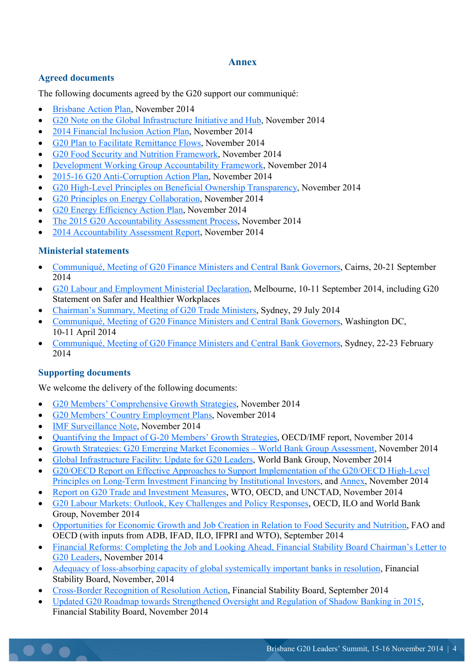### **Annex**

## **Agreed documents**

The following documents agreed by the G20 support our communiqué:

- [Brisbane Action Plan,](https://www.g20.org/sites/default/files/g20_resources/library/brisbane_action_plan.pdf) November 2014
- [G20 Note on the Global Infrastructure Initiative and Hub,](https://www.g20.org/sites/default/files/g20_resources/library/g20_note_global_infrastructure_initiative_hub.pdf) November 2014
- [2014 Financial Inclusion Action Plan,](https://www.g20.org/sites/default/files/g20_resources/library/2014_g20_financial_inclusion_action_plan.pdf) November 2014
- [G20 Plan to Facilitate Remittance Flows,](https://www.g20.org/sites/default/files/g20_resources/library/g20_plan_facilitate_remittance_flows.pdf) November 2014
- [G20 Food Security and Nutrition Framework,](https://www.g20.org/sites/default/files/g20_resources/library/g20_food_security_nutrition_framework.pdf) November 2014
- [Development Working Group Accountability Framework,](https://www.g20.org/sites/default/files/g20_resources/library/g20_development_working_group_accountability_framework.pdf) November 2014
- [2015-16 G20 Anti-Corruption Action Plan,](https://www.g20.org/sites/default/files/g20_resources/library/2015-16%20_g20_anti-corruption_action_plan_0.pdf) November 2014
- [G20 High-Level Principles on Beneficial Ownership Transparency,](https://www.g20.org/sites/default/files/g20_resources/library/g20_high-level_principles_beneficial_ownership_transparency.pdf) November 2014
- [G20 Principles on Energy Collaboration,](https://www.g20.org/sites/default/files/g20_resources/library/g20_principles_energy_collaboration.pdf) November 2014
- [G20 Energy Efficiency Action Plan,](https://www.g20.org/sites/default/files/g20_resources/library/g20_energy_efficiency_action_plan.pdf) November 2014
- [The 2015 G20 Accountability Assessment Process,](https://www.g20.org/sites/default/files/g20_resources/library/2015_g20_accountability_assessment_process.pdf) November 2014
- [2014 Accountability Assessment Report,](https://www.g20.org/sites/default/files/g20_resources/library/2014_accountability_assessment_report.pdf) November 2014

## **Ministerial statements**

- [Communiqué, Meeting of G20 Finance Ministers and Central Bank Governors,](https://www.g20.org/sites/default/files/g20_resources/library/Communique%20G20%20Finance%20Ministers%20and%20Central%20Bank%20Governors%20Cairns.pdf) Cairns, 20-21 September 2014
- [G20 Labour and Employment Ministerial Declaration,](https://www.g20.org/sites/default/files/g20_resources/library/2014%20LEMM%20Declaration.pdf) Melbourne, 10-11 September 2014, including G20 Statement on Safer and Healthier Workplaces
- [Chairman's Summary, Meeting of G20 Trade Ministers,](https://www.g20.org/sites/default/files/g20_resources/library/20140720-Chair-Summary-TMM-Syd.pdf) Sydney, 29 July 2014
- [Communiqué, Meeting of G20 Finance Ministers and Central Bank Governors,](https://www.g20.org/sites/default/files/g20_resources/library/communique-fmcbg-washington-april-2014.pdf) Washington DC, 10-11 April 2014
- [Communiqué, Meeting of G20 Finance Ministers and Central Bank Governors,](https://www.g20.org/sites/default/files/g20_resources/library/Communique%20Meeting%20of%20G20%20Finance%20Ministers%20and%20Central%20Bank%20Governors%20Sydney%2022-23%20February%202014_0.pdf) Sydney, 22-23 February 2014

# **Supporting documents**

We welcome the delivery of the following documents:

- [G20 Members' Comprehensive Growth Strategies,](http://www.g20.org/official_resources/current_presidency/growth_strategies) November 2014
- [G20 Members' Country Employment Plans,](http://www.g20.org/official_resources/current_presidency/employment_plans) November 2014
- **[IMF Surveillance Note,](https://www.g20.org/sites/default/files/g20_resources/library/IMF_surveillance_note.pdf) November 2014**
- [Quantifying the Impact of G-20 Members' Growth Strategies,](https://www.g20.org/sites/default/files/g20_resources/library/quantifying_impact_g20_members_growth_strategies.pdf) OECD/IMF report, November 2014
- [Growth Strategies: G20 Emerging Market Economies –](https://www.g20.org/sites/default/files/g20_resources/library/growth_strategies_g20_emerging_market_economies.pdf) World Bank Group Assessment, November 2014
- [Global Infrastructure Facility: Update for G20 Leaders,](https://www.g20.org/sites/default/files/g20_resources/library/GIF_update_g20_leaders.pdf) World Bank Group, November 2014
- [G20/OECD Report on Effective Approaches to Support Implementation of the G20/OECD High-Level](https://www.g20.org/sites/default/files/g20_resources/library/report_effective_approaches_g20_OECD.pdf)  [Principles on Long-Term Investment Financing by Institutional Investors,](https://www.g20.org/sites/default/files/g20_resources/library/report_effective_approaches_g20_OECD.pdf) and [Annex,](https://www.g20.org/sites/default/files/g20_resources/library/annex_report_effective_approaches_g20_OECD.pdf) November 2014
- [Report on G20 Trade and Investment Measures,](https://www.g20.org/sites/default/files/g20_resources/library/reports_g20_trade_investment_measures.pdf) WTO, OECD, and UNCTAD, November 2014
- [G20 Labour Markets: Outlook, Key Challenges and Policy Responses,](https://www.g20.org/sites/default/files/g20_resources/library/g20_labour_markets_outlook_key_challenges.pdf) OECD, ILO and World Bank Group, November 2014
- [Opportunities for Economic Growth and Job Creation in Relation to Food Security and Nutrition,](https://www.g20.org/sites/default/files/g20_resources/library/opportunities_economic_growth_job_creation_FSN.PDF) FAO and OECD (with inputs from ADB, IFAD, ILO, IFPRI and WTO), September 2014
- Financial Reforms: Completing the Job and [Looking Ahead, Financial Stability Board Chairman's Letter to](https://www.g20.org/sites/default/files/g20_resources/library/financial_reforms_completing_job_looking_ahead.pdf)  [G20 Leaders,](https://www.g20.org/sites/default/files/g20_resources/library/financial_reforms_completing_job_looking_ahead.pdf) November 2014
- [Adequacy of loss-absorbing capacity of global systemically important banks in resolution,](https://www.g20.org/sites/default/files/g20_resources/library/adequacy_loss-absorbing_capacty_global_systemically_important_banks.pdf) Financial Stability Board, November, 2014
- [Cross-Border Recognition of Resolution Action,](https://www.g20.org/sites/default/files/g20_resources/library/cross-border_recognition_resoultion_action.pdf) Financial Stability Board, September 2014
- [Updated G20 Roadmap towards Strengthened Oversight and Regulation of Shadow Banking in 2015,](https://www.g20.org/sites/default/files/g20_resources/library/updated_g20_roadmap_strengthened_oversight_regulation_2015.pdf) Financial Stability Board, November 2014